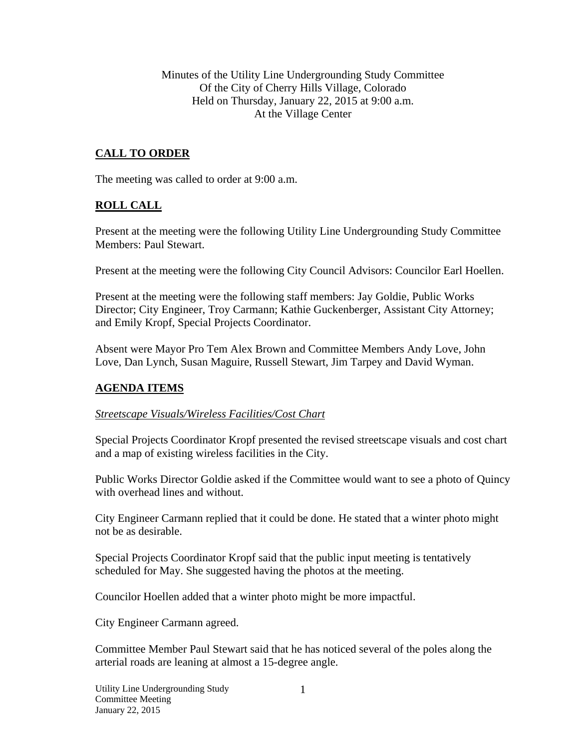Minutes of the Utility Line Undergrounding Study Committee Of the City of Cherry Hills Village, Colorado Held on Thursday, January 22, 2015 at 9:00 a.m. At the Village Center

# **CALL TO ORDER**

The meeting was called to order at 9:00 a.m.

### **ROLL CALL**

Present at the meeting were the following Utility Line Undergrounding Study Committee Members: Paul Stewart.

Present at the meeting were the following City Council Advisors: Councilor Earl Hoellen.

Present at the meeting were the following staff members: Jay Goldie, Public Works Director; City Engineer, Troy Carmann; Kathie Guckenberger, Assistant City Attorney; and Emily Kropf, Special Projects Coordinator.

Absent were Mayor Pro Tem Alex Brown and Committee Members Andy Love, John Love, Dan Lynch, Susan Maguire, Russell Stewart, Jim Tarpey and David Wyman.

### **AGENDA ITEMS**

### *Streetscape Visuals/Wireless Facilities/Cost Chart*

Special Projects Coordinator Kropf presented the revised streetscape visuals and cost chart and a map of existing wireless facilities in the City.

Public Works Director Goldie asked if the Committee would want to see a photo of Quincy with overhead lines and without.

City Engineer Carmann replied that it could be done. He stated that a winter photo might not be as desirable.

Special Projects Coordinator Kropf said that the public input meeting is tentatively scheduled for May. She suggested having the photos at the meeting.

Councilor Hoellen added that a winter photo might be more impactful.

City Engineer Carmann agreed.

Committee Member Paul Stewart said that he has noticed several of the poles along the arterial roads are leaning at almost a 15-degree angle.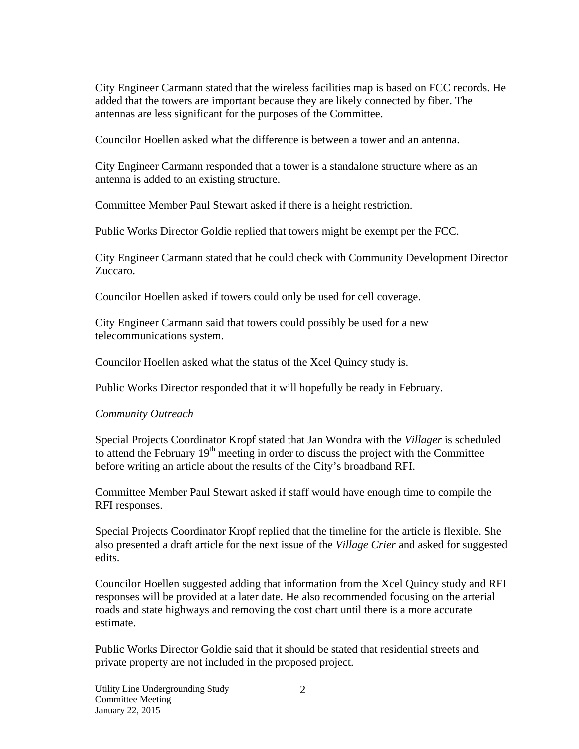City Engineer Carmann stated that the wireless facilities map is based on FCC records. He added that the towers are important because they are likely connected by fiber. The antennas are less significant for the purposes of the Committee.

Councilor Hoellen asked what the difference is between a tower and an antenna.

City Engineer Carmann responded that a tower is a standalone structure where as an antenna is added to an existing structure.

Committee Member Paul Stewart asked if there is a height restriction.

Public Works Director Goldie replied that towers might be exempt per the FCC.

City Engineer Carmann stated that he could check with Community Development Director Zuccaro.

Councilor Hoellen asked if towers could only be used for cell coverage.

City Engineer Carmann said that towers could possibly be used for a new telecommunications system.

Councilor Hoellen asked what the status of the Xcel Quincy study is.

Public Works Director responded that it will hopefully be ready in February.

### *Community Outreach*

Special Projects Coordinator Kropf stated that Jan Wondra with the *Villager* is scheduled to attend the February  $19<sup>th</sup>$  meeting in order to discuss the project with the Committee before writing an article about the results of the City's broadband RFI.

Committee Member Paul Stewart asked if staff would have enough time to compile the RFI responses.

Special Projects Coordinator Kropf replied that the timeline for the article is flexible. She also presented a draft article for the next issue of the *Village Crier* and asked for suggested edits.

Councilor Hoellen suggested adding that information from the Xcel Quincy study and RFI responses will be provided at a later date. He also recommended focusing on the arterial roads and state highways and removing the cost chart until there is a more accurate estimate.

Public Works Director Goldie said that it should be stated that residential streets and private property are not included in the proposed project.